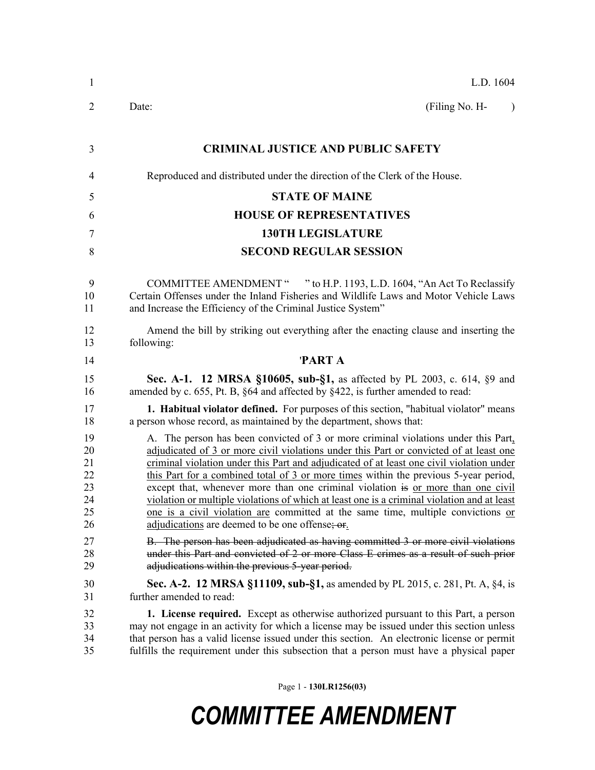| 1                                            | L.D. 1604                                                                                                                                                                                                                                                                                                                                                                                                                                                                                                                                                                                                                                                                                 |
|----------------------------------------------|-------------------------------------------------------------------------------------------------------------------------------------------------------------------------------------------------------------------------------------------------------------------------------------------------------------------------------------------------------------------------------------------------------------------------------------------------------------------------------------------------------------------------------------------------------------------------------------------------------------------------------------------------------------------------------------------|
| 2                                            | (Filing No. H-<br>Date:<br>$\lambda$                                                                                                                                                                                                                                                                                                                                                                                                                                                                                                                                                                                                                                                      |
| 3                                            | <b>CRIMINAL JUSTICE AND PUBLIC SAFETY</b>                                                                                                                                                                                                                                                                                                                                                                                                                                                                                                                                                                                                                                                 |
| $\overline{4}$                               | Reproduced and distributed under the direction of the Clerk of the House.                                                                                                                                                                                                                                                                                                                                                                                                                                                                                                                                                                                                                 |
| 5                                            | <b>STATE OF MAINE</b>                                                                                                                                                                                                                                                                                                                                                                                                                                                                                                                                                                                                                                                                     |
| 6                                            | <b>HOUSE OF REPRESENTATIVES</b>                                                                                                                                                                                                                                                                                                                                                                                                                                                                                                                                                                                                                                                           |
| 7                                            | <b>130TH LEGISLATURE</b>                                                                                                                                                                                                                                                                                                                                                                                                                                                                                                                                                                                                                                                                  |
| 8                                            | <b>SECOND REGULAR SESSION</b>                                                                                                                                                                                                                                                                                                                                                                                                                                                                                                                                                                                                                                                             |
| 9<br>10<br>11                                | COMMITTEE AMENDMENT " " to H.P. 1193, L.D. 1604, "An Act To Reclassify<br>Certain Offenses under the Inland Fisheries and Wildlife Laws and Motor Vehicle Laws<br>and Increase the Efficiency of the Criminal Justice System"                                                                                                                                                                                                                                                                                                                                                                                                                                                             |
| 12<br>13                                     | Amend the bill by striking out everything after the enacting clause and inserting the<br>following:                                                                                                                                                                                                                                                                                                                                                                                                                                                                                                                                                                                       |
| 14                                           | 'PART A                                                                                                                                                                                                                                                                                                                                                                                                                                                                                                                                                                                                                                                                                   |
| 15<br>16                                     | Sec. A-1. 12 MRSA §10605, sub-§1, as affected by PL 2003, c. 614, §9 and<br>amended by c. 655, Pt. B, §64 and affected by §422, is further amended to read:                                                                                                                                                                                                                                                                                                                                                                                                                                                                                                                               |
| 17<br>18                                     | <b>1. Habitual violator defined.</b> For purposes of this section, "habitual violator" means<br>a person whose record, as maintained by the department, shows that:                                                                                                                                                                                                                                                                                                                                                                                                                                                                                                                       |
| 19<br>20<br>21<br>22<br>23<br>24<br>25<br>26 | A. The person has been convicted of 3 or more criminal violations under this Part,<br>adjudicated of 3 or more civil violations under this Part or convicted of at least one<br>criminal violation under this Part and adjudicated of at least one civil violation under<br>this Part for a combined total of 3 or more times within the previous 5-year period,<br>except that, whenever more than one criminal violation is or more than one civil<br>violation or multiple violations of which at least one is a criminal violation and at least<br>one is a civil violation are committed at the same time, multiple convictions or<br>adjudications are deemed to be one offense; or |
| 27<br>28<br>29                               | B. The person has been adjudicated as having committed 3 or more civil violations<br>under this Part and convicted of 2 or more Class E crimes as a result of such prior<br>adjudications within the previous 5-year period.                                                                                                                                                                                                                                                                                                                                                                                                                                                              |
| 30<br>31                                     | <b>Sec. A-2. 12 MRSA §11109, sub-§1, as amended by PL 2015, c. 281, Pt. A, §4, is</b><br>further amended to read:                                                                                                                                                                                                                                                                                                                                                                                                                                                                                                                                                                         |
| 32<br>33<br>34<br>35                         | <b>1. License required.</b> Except as otherwise authorized pursuant to this Part, a person<br>may not engage in an activity for which a license may be issued under this section unless<br>that person has a valid license issued under this section. An electronic license or permit<br>fulfills the requirement under this subsection that a person must have a physical paper                                                                                                                                                                                                                                                                                                          |

Page 1 - **130LR1256(03)**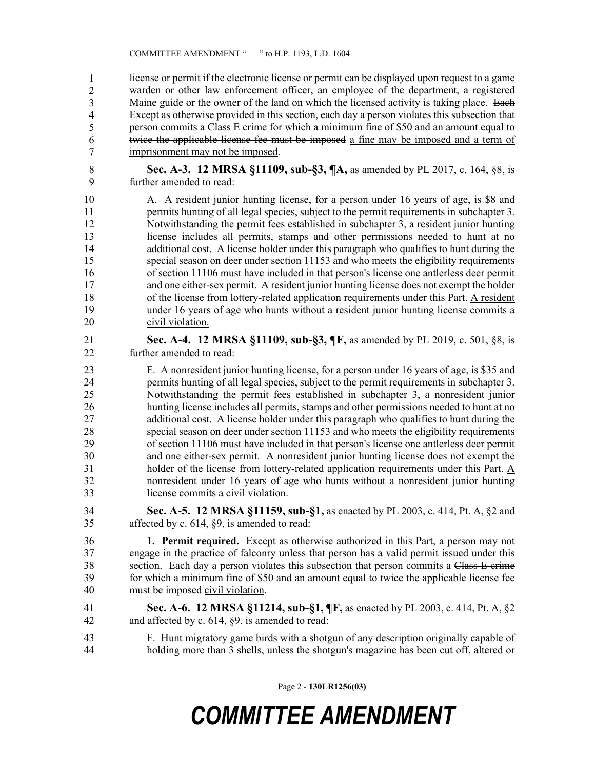license or permit if the electronic license or permit can be displayed upon request to a game warden or other law enforcement officer, an employee of the department, a registered Maine guide or the owner of the land on which the licensed activity is taking place. Each Except as otherwise provided in this section, each day a person violates this subsection that person commits a Class E crime for which a minimum fine of \$50 and an amount equal to twice the applicable license fee must be imposed a fine may be imposed and a term of imprisonment may not be imposed. 1 2 3 4 5 6 7

- 8 **Sec. A-3. 12 MRSA §11109, sub-§3, ¶A,** as amended by PL 2017, c. 164, §8, is 9 further amended to read:
- 10 A. A resident junior hunting license, for a person under 16 years of age, is \$8 and 11 permits hunting of all legal species, subject to the permit requirements in subchapter 3. 12 Notwithstanding the permit fees established in subchapter 3, a resident junior hunting 13 license includes all permits, stamps and other permissions needed to hunt at no 14 additional cost. A license holder under this paragraph who qualifies to hunt during the 15 special season on deer under section 11153 and who meets the eligibility requirements 16 of section 11106 must have included in that person's license one antlerless deer permit 17 and one either-sex permit. A resident junior hunting license does not exempt the holder 18 of the license from lottery-related application requirements under this Part. A resident 19 under 16 years of age who hunts without a resident junior hunting license commits a 20 civil violation.
- 21 **Sec. A-4. 12 MRSA §11109, sub-§3, ¶F,** as amended by PL 2019, c. 501, §8, is 22 further amended to read:
- 23 F. A nonresident junior hunting license, for a person under 16 years of age, is \$35 and 24 permits hunting of all legal species, subject to the permit requirements in subchapter 3. 25 Notwithstanding the permit fees established in subchapter 3, a nonresident junior 26 hunting license includes all permits, stamps and other permissions needed to hunt at no 27 additional cost. A license holder under this paragraph who qualifies to hunt during the 28 special season on deer under section 11153 and who meets the eligibility requirements 29 of section 11106 must have included in that person's license one antlerless deer permit 30 and one either-sex permit. A nonresident junior hunting license does not exempt the 31 holder of the license from lottery-related application requirements under this Part. A 32 nonresident under 16 years of age who hunts without a nonresident junior hunting 33 license commits a civil violation.
- 34 **Sec. A-5. 12 MRSA §11159, sub-§1,** as enacted by PL 2003, c. 414, Pt. A, §2 and 35 affected by c. 614, §9, is amended to read:

36 **1. Permit required.** Except as otherwise authorized in this Part, a person may not 37 engage in the practice of falconry unless that person has a valid permit issued under this 38 section. Each day a person violates this subsection that person commits a Class E crime 39 for which a minimum fine of \$50 and an amount equal to twice the applicable license fee 40 must be imposed civil violation.

- 41 **Sec. A-6. 12 MRSA §11214, sub-§1, ¶F,** as enacted by PL 2003, c. 414, Pt. A, §2 42 and affected by c. 614, §9, is amended to read:
- 43 F. Hunt migratory game birds with a shotgun of any description originally capable of 44 holding more than 3 shells, unless the shotgun's magazine has been cut off, altered or

Page 2 - **130LR1256(03)**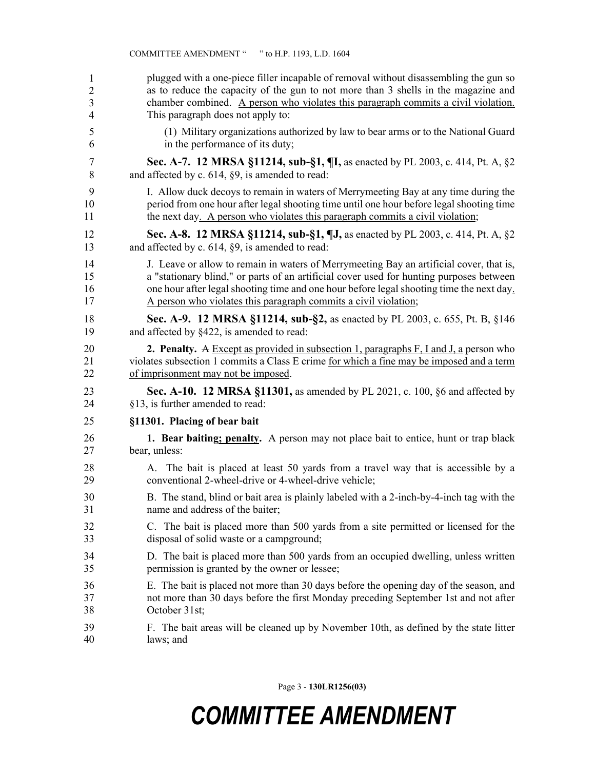| 1  | plugged with a one-piece filler incapable of removal without disassembling the gun so           |
|----|-------------------------------------------------------------------------------------------------|
| 2  | as to reduce the capacity of the gun to not more than 3 shells in the magazine and              |
| 3  | chamber combined. A person who violates this paragraph commits a civil violation.               |
| 4  | This paragraph does not apply to:                                                               |
| 5  | (1) Military organizations authorized by law to bear arms or to the National Guard              |
| 6  | in the performance of its duty;                                                                 |
| 7  | Sec. A-7. 12 MRSA §11214, sub-§1, ¶I, as enacted by PL 2003, c. 414, Pt. A, §2                  |
| 8  | and affected by c. 614, §9, is amended to read:                                                 |
| 9  | I. Allow duck decoys to remain in waters of Merrymeeting Bay at any time during the             |
| 10 | period from one hour after legal shooting time until one hour before legal shooting time        |
| 11 | the next day. A person who violates this paragraph commits a civil violation;                   |
| 12 | Sec. A-8. 12 MRSA §11214, sub-§1, ¶J, as enacted by PL 2003, c. 414, Pt. A, §2                  |
| 13 | and affected by c. 614, §9, is amended to read:                                                 |
| 14 | J. Leave or allow to remain in waters of Merrymeeting Bay an artificial cover, that is,         |
| 15 | a "stationary blind," or parts of an artificial cover used for hunting purposes between         |
| 16 | one hour after legal shooting time and one hour before legal shooting time the next day.        |
| 17 | A person who violates this paragraph commits a civil violation;                                 |
| 18 | Sec. A-9. 12 MRSA §11214, sub-§2, as enacted by PL 2003, c. 655, Pt. B, §146                    |
| 19 | and affected by §422, is amended to read:                                                       |
| 20 | <b>2. Penalty.</b> A Except as provided in subsection 1, paragraphs $F$ , I and J, a person who |
| 21 | violates subsection 1 commits a Class E crime for which a fine may be imposed and a term        |
| 22 | of imprisonment may not be imposed.                                                             |
| 23 | <b>Sec. A-10. 12 MRSA §11301,</b> as amended by PL 2021, c. 100, §6 and affected by             |
| 24 | §13, is further amended to read:                                                                |
| 25 | §11301. Placing of bear bait                                                                    |
| 26 | 1. Bear baiting; penalty. A person may not place bait to entice, hunt or trap black             |
| 27 | bear, unless:                                                                                   |
| 28 | A. The bait is placed at least 50 yards from a travel way that is accessible by a               |
| 29 | conventional 2-wheel-drive or 4-wheel-drive vehicle;                                            |
| 30 | B. The stand, blind or bait area is plainly labeled with a 2-inch-by-4-inch tag with the        |
| 31 | name and address of the baiter;                                                                 |
| 32 | C. The bait is placed more than 500 yards from a site permitted or licensed for the             |
| 33 | disposal of solid waste or a campground;                                                        |
| 34 | D. The bait is placed more than 500 yards from an occupied dwelling, unless written             |
| 35 | permission is granted by the owner or lessee;                                                   |
| 36 | E. The bait is placed not more than 30 days before the opening day of the season, and           |
| 37 | not more than 30 days before the first Monday preceding September 1st and not after             |
| 38 | October 31st;                                                                                   |
| 39 | F. The bait areas will be cleaned up by November 10th, as defined by the state litter           |
| 40 | laws; and                                                                                       |

COMMITTEE AMENDMENT " " to H.P. 1193, L.D. 1604

Page 3 - **130LR1256(03)**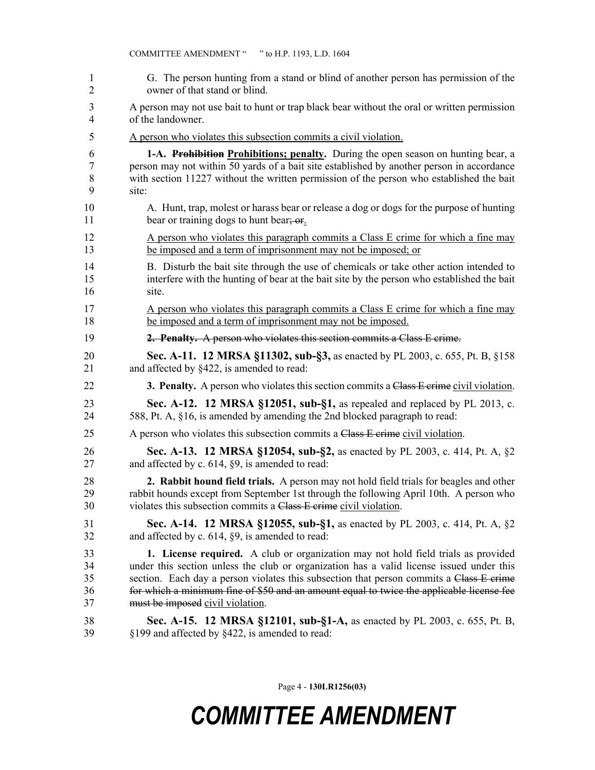| 1  | G. The person hunting from a stand or blind of another person has permission of the            |
|----|------------------------------------------------------------------------------------------------|
| 2  | owner of that stand or blind.                                                                  |
| 3  | A person may not use bait to hunt or trap black bear without the oral or written permission    |
| 4  | of the landowner.                                                                              |
| 5  | A person who violates this subsection commits a civil violation.                               |
| 6  | 1-A. Prohibition Prohibitions; penalty. During the open season on hunting bear, a              |
| 7  | person may not within 50 yards of a bait site established by another person in accordance      |
| 8  | with section 11227 without the written permission of the person who established the bait       |
| 9  | site:                                                                                          |
| 10 | A. Hunt, trap, molest or harass bear or release a dog or dogs for the purpose of hunting       |
| 11 | bear or training dogs to hunt bear; or                                                         |
| 12 | A person who violates this paragraph commits a Class E crime for which a fine may              |
| 13 | be imposed and a term of imprisonment may not be imposed; or                                   |
| 14 | B. Disturb the bait site through the use of chemicals or take other action intended to         |
| 15 | interfere with the hunting of bear at the bait site by the person who established the bait     |
| 16 | site.                                                                                          |
| 17 | A person who violates this paragraph commits a Class E crime for which a fine may              |
| 18 | be imposed and a term of imprisonment may not be imposed.                                      |
| 19 | 2. Penalty. A person who violates this section commits a Class E crime.                        |
| 20 | Sec. A-11. 12 MRSA §11302, sub-§3, as enacted by PL 2003, c. 655, Pt. B, §158                  |
| 21 | and affected by §422, is amended to read:                                                      |
| 22 | <b>3. Penalty.</b> A person who violates this section commits a Class E erime civil violation. |
| 23 | Sec. A-12. 12 MRSA §12051, sub-§1, as repealed and replaced by PL 2013, c.                     |
| 24 | 588, Pt. A, §16, is amended by amending the 2nd blocked paragraph to read:                     |
| 25 | A person who violates this subsection commits a Class E crime civil violation.                 |
| 26 | Sec. A-13. 12 MRSA §12054, sub-§2, as enacted by PL 2003, c. 414, Pt. A, §2                    |
| 27 | and affected by c. 614, §9, is amended to read:                                                |
| 28 | 2. Rabbit hound field trials. A person may not hold field trials for beagles and other         |
| 29 | rabbit hounds except from September 1st through the following April 10th. A person who         |
| 30 | violates this subsection commits a Class E crime civil violation.                              |
| 31 | <b>Sec. A-14. 12 MRSA §12055, sub-§1, as enacted by PL 2003, c. 414, Pt. A, §2</b>             |
| 32 | and affected by c. 614, §9, is amended to read:                                                |
| 33 | 1. License required. A club or organization may not hold field trials as provided              |
| 34 | under this section unless the club or organization has a valid license issued under this       |
| 35 | section. Each day a person violates this subsection that person commits a Class E-crime        |
| 36 | for which a minimum fine of \$50 and an amount equal to twice the applicable license fee       |
| 37 | must be imposed civil violation.                                                               |
| 38 | Sec. A-15. 12 MRSA §12101, sub-§1-A, as enacted by PL 2003, c. 655, Pt. B,                     |
| 39 | §199 and affected by §422, is amended to read:                                                 |

COMMITTEE AMENDMENT " " to H.P. 1193, L.D. 1604

Page 4 - **130LR1256(03)**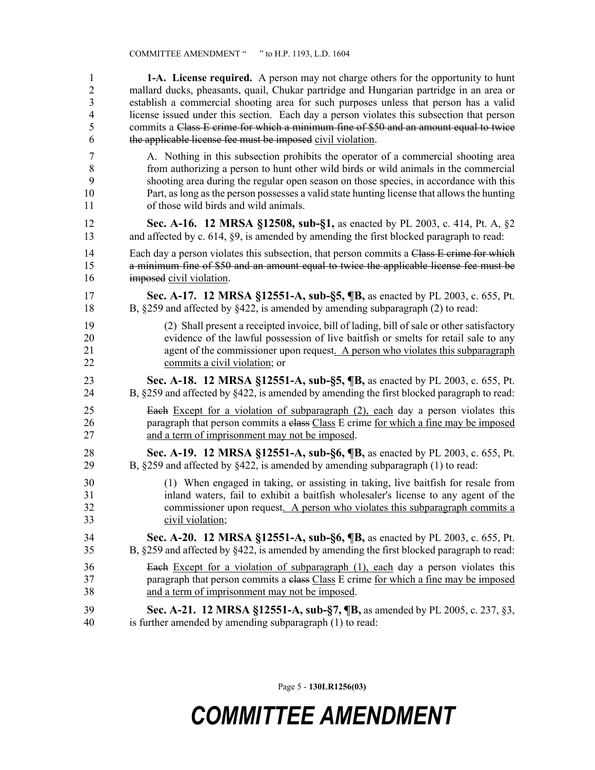| $\mathbf{1}$   | <b>1-A.</b> License required. A person may not charge others for the opportunity to hunt           |
|----------------|----------------------------------------------------------------------------------------------------|
| $\overline{2}$ | mallard ducks, pheasants, quail, Chukar partridge and Hungarian partridge in an area or            |
| 3              | establish a commercial shooting area for such purposes unless that person has a valid              |
| $\overline{4}$ | license issued under this section. Each day a person violates this subsection that person          |
| 5              | commits a Class E crime for which a minimum fine of \$50 and an amount equal to twice              |
| 6              | the applicable license fee must be imposed civil violation.                                        |
| $\overline{7}$ | A. Nothing in this subsection prohibits the operator of a commercial shooting area                 |
| $\,8\,$        | from authorizing a person to hunt other wild birds or wild animals in the commercial               |
| 9              | shooting area during the regular open season on those species, in accordance with this             |
| 10             | Part, as long as the person possesses a valid state hunting license that allows the hunting        |
| 11             | of those wild birds and wild animals.                                                              |
| 12             | Sec. A-16. 12 MRSA §12508, sub-§1, as enacted by PL 2003, c. 414, Pt. A, §2                        |
| 13             | and affected by c. 614, §9, is amended by amending the first blocked paragraph to read:            |
| 14             | Each day a person violates this subsection, that person commits a Class E crime for which          |
| 15             | a minimum fine of \$50 and an amount equal to twice the applicable license fee must be             |
| 16             | imposed civil violation.                                                                           |
| 17             | Sec. A-17. 12 MRSA §12551-A, sub-§5, ¶B, as enacted by PL 2003, c. 655, Pt.                        |
| 18             | B, $\S259$ and affected by $\S422$ , is amended by amending subparagraph (2) to read:              |
| 19             | (2) Shall present a receipted invoice, bill of lading, bill of sale or other satisfactory          |
| 20             | evidence of the lawful possession of live baitfish or smelts for retail sale to any                |
| 21             | agent of the commissioner upon request. A person who violates this subparagraph                    |
| 22             | commits a civil violation; or                                                                      |
| 23             | Sec. A-18. 12 MRSA §12551-A, sub-§5, ¶B, as enacted by PL 2003, c. 655, Pt.                        |
| 24             | B, $\S 259$ and affected by $\S 422$ , is amended by amending the first blocked paragraph to read: |
| 25             | Each Except for a violation of subparagraph (2), each day a person violates this                   |
| 26             | paragraph that person commits a elass Class E crime for which a fine may be imposed                |
| 27             | and a term of imprisonment may not be imposed.                                                     |
| 28             | Sec. A-19. 12 MRSA §12551-A, sub-§6, ¶B, as enacted by PL 2003, c. 655, Pt.                        |
| 29             | B, $\S259$ and affected by $\S422$ , is amended by amending subparagraph (1) to read:              |
| 30             | (1) When engaged in taking, or assisting in taking, live bait fish for resale from                 |
| 31             | inland waters, fail to exhibit a baitfish wholesaler's license to any agent of the                 |
| 32             | commissioner upon request. A person who violates this subparagraph commits a                       |
| 33             | civil violation;                                                                                   |
| 34             | Sec. A-20. 12 MRSA §12551-A, sub-§6, ¶B, as enacted by PL 2003, c. 655, Pt.                        |
| 35             | B, §259 and affected by §422, is amended by amending the first blocked paragraph to read:          |
| 36             | <b>Each</b> Except for a violation of subparagraph (1), each day a person violates this            |
| 37             | paragraph that person commits a class Class E crime for which a fine may be imposed                |
| 38             | and a term of imprisonment may not be imposed.                                                     |
| 39             | <b>Sec. A-21. 12 MRSA §12551-A, sub-§7, ¶B, as amended by PL 2005, c. 237, §3,</b>                 |
| 40             | is further amended by amending subparagraph (1) to read:                                           |

Page 5 - **130LR1256(03)**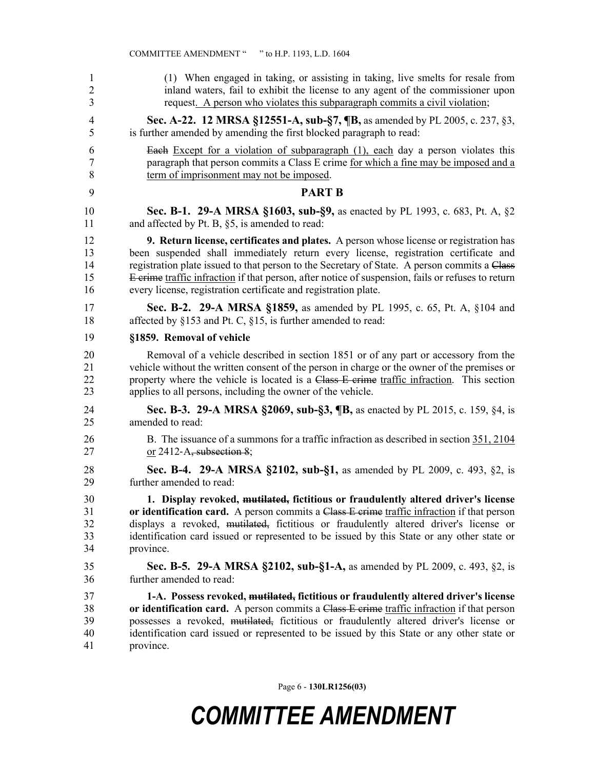| 1              | (1) When engaged in taking, or assisting in taking, live smelts for resale from                   |
|----------------|---------------------------------------------------------------------------------------------------|
| $\overline{2}$ | inland waters, fail to exhibit the license to any agent of the commissioner upon                  |
| 3              | request. A person who violates this subparagraph commits a civil violation;                       |
| 4              | Sec. A-22. 12 MRSA §12551-A, sub-§7, ¶B, as amended by PL 2005, c. 237, §3,                       |
| 5              | is further amended by amending the first blocked paragraph to read:                               |
| 6              | <b>Each</b> Except for a violation of subparagraph (1), each day a person violates this           |
| 7              | paragraph that person commits a Class E crime for which a fine may be imposed and a               |
| 8              | term of imprisonment may not be imposed.                                                          |
| 9              | <b>PART B</b>                                                                                     |
| 10             | Sec. B-1. 29-A MRSA §1603, sub-§9, as enacted by PL 1993, c. 683, Pt. A, §2                       |
| 11             | and affected by Pt. B, §5, is amended to read:                                                    |
| 12             | <b>9. Return license, certificates and plates.</b> A person whose license or registration has     |
| 13             | been suspended shall immediately return every license, registration certificate and               |
| 14             | registration plate issued to that person to the Secretary of State. A person commits a Class      |
| 15             | E crime traffic infraction if that person, after notice of suspension, fails or refuses to return |
| 16             | every license, registration certificate and registration plate.                                   |
| 17             | <b>Sec. B-2. 29-A MRSA §1859, as amended by PL 1995, c. 65, Pt. A, §104 and</b>                   |
| 18             | affected by §153 and Pt. C, §15, is further amended to read:                                      |
| 19             | §1859. Removal of vehicle                                                                         |
| 20             | Removal of a vehicle described in section 1851 or of any part or accessory from the               |
| 21             | vehicle without the written consent of the person in charge or the owner of the premises or       |
| 22             | property where the vehicle is located is a Class E crime traffic infraction. This section         |
| 23             | applies to all persons, including the owner of the vehicle.                                       |
| 24             | Sec. B-3. 29-A MRSA §2069, sub-§3, ¶B, as enacted by PL 2015, c. 159, §4, is                      |
| 25             | amended to read:                                                                                  |
| 26             | B. The issuance of a summons for a traffic infraction as described in section 351, 2104           |
| 27             | or $2412-A$ , subsection 8;                                                                       |
| 28             | Sec. B-4. 29-A MRSA §2102, sub-§1, as amended by PL 2009, c. 493, §2, is                          |
| 29             | further amended to read:                                                                          |
| 30             | 1. Display revoked, mutilated, fictitious or fraudulently altered driver's license                |
| 31             | or identification card. A person commits a Class E crime traffic infraction if that person        |
| 32             | displays a revoked, mutilated, fictitious or fraudulently altered driver's license or             |
| 33             | identification card issued or represented to be issued by this State or any other state or        |
| 34             | province.                                                                                         |
| 35             | <b>Sec. B-5. 29-A MRSA §2102, sub-§1-A, as amended by PL 2009, c. 493, §2, is</b>                 |
| 36             | further amended to read:                                                                          |
| 37             | 1-A. Possess revoked, mutilated, fictitious or fraudulently altered driver's license              |
| 38             | or identification card. A person commits a Class E crime traffic infraction if that person        |
| 39             | possesses a revoked, mutilated, fictitious or fraudulently altered driver's license or            |
| 40             | identification card issued or represented to be issued by this State or any other state or        |
| 41             | province.                                                                                         |

COMMITTEE AMENDMENT " " to H.P. 1193, L.D. 1604

Page 6 - **130LR1256(03)**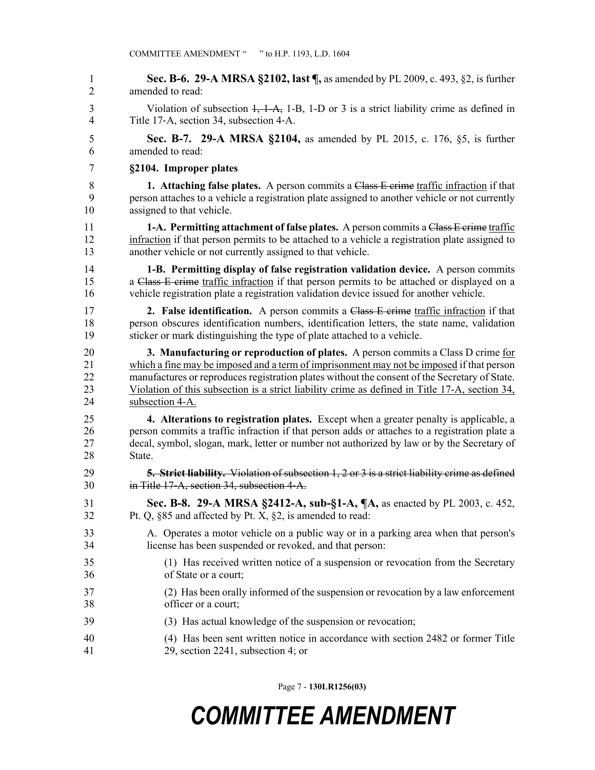1 **Sec. B-6. 29-A MRSA §2102, last ¶,** as amended by PL 2009, c. 493, §2, is further 2 amended to read: 3 Violation of subsection 1, 1-A, 1-B, 1-D or 3 is a strict liability crime as defined in 4 Title 17‑A, section 34, subsection 4‑A. 5 **Sec. B-7. 29-A MRSA §2104,** as amended by PL 2015, c. 176, §5, is further 6 amended to read: 7 **§2104. Improper plates** 8 **1. Attaching false plates.** A person commits a Class E crime traffic infraction if that 9 person attaches to a vehicle a registration plate assigned to another vehicle or not currently 10 assigned to that vehicle. 11 **1-A. Permitting attachment of false plates.** A person commits a Class E crime traffic 12 infraction if that person permits to be attached to a vehicle a registration plate assigned to 13 another vehicle or not currently assigned to that vehicle. 14 **1-B. Permitting display of false registration validation device.** A person commits 15 a Class E crime traffic infraction if that person permits to be attached or displayed on a 16 vehicle registration plate a registration validation device issued for another vehicle. 17 **2. False identification.** A person commits a Class E crime traffic infraction if that 18 person obscures identification numbers, identification letters, the state name, validation 19 sticker or mark distinguishing the type of plate attached to a vehicle. 20 **3. Manufacturing or reproduction of plates.** A person commits a Class D crime for 21 which a fine may be imposed and a term of imprisonment may not be imposed if that person 22 manufactures or reproduces registration plates without the consent of the Secretary of State. 23 Violation of this subsection is a strict liability crime as defined in Title 17-A, section 34, 24 subsection 4-A. 25 **4. Alterations to registration plates.** Except when a greater penalty is applicable, a 26 person commits a traffic infraction if that person adds or attaches to a registration plate a 27 decal, symbol, slogan, mark, letter or number not authorized by law or by the Secretary of 28 State. 29 **5. Strict liability.** Violation of subsection 1, 2 or 3 is a strict liability crime as defined 30 in Title 17‑A, section 34, subsection 4‑A. 31 **Sec. B-8. 29-A MRSA §2412-A, sub-§1-A, ¶A,** as enacted by PL 2003, c. 452, 32 Pt. Q, §85 and affected by Pt. X, §2, is amended to read: 33 A. Operates a motor vehicle on a public way or in a parking area when that person's 34 license has been suspended or revoked, and that person: 35 (1) Has received written notice of a suspension or revocation from the Secretary 36 of State or a court; 37 (2) Has been orally informed of the suspension or revocation by a law enforcement 38 officer or a court; 39 (3) Has actual knowledge of the suspension or revocation; 40 (4) Has been sent written notice in accordance with section 2482 or former Title 41 29, section 2241, subsection 4; or

Page 7 - **130LR1256(03)**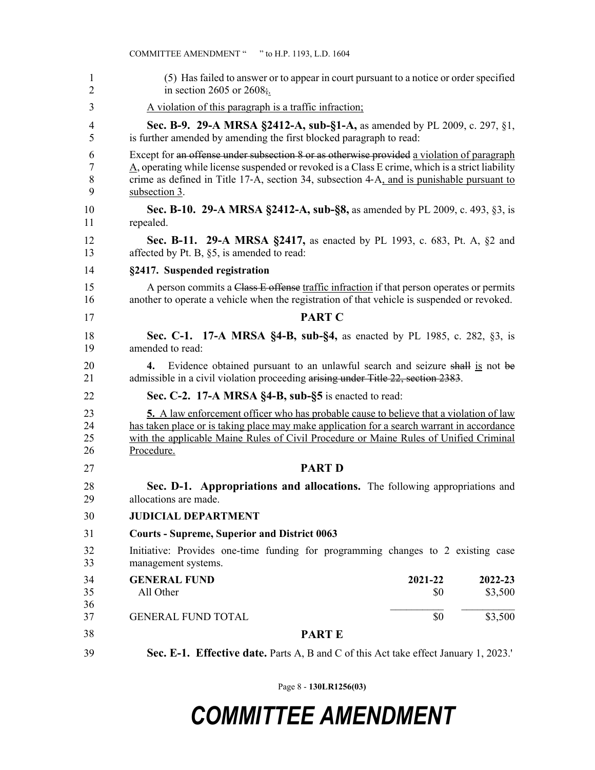|                      | COMMITTEE AMENDMENT " "to H.P. 1193, L.D. 1604                                                                                                                                                                                                                                                              |
|----------------------|-------------------------------------------------------------------------------------------------------------------------------------------------------------------------------------------------------------------------------------------------------------------------------------------------------------|
| 1<br>$\overline{2}$  | (5) Has failed to answer or to appear in court pursuant to a notice or order specified<br>in section 2605 or 2608;                                                                                                                                                                                          |
| 3                    | A violation of this paragraph is a traffic infraction;                                                                                                                                                                                                                                                      |
| 4<br>5               | <b>Sec. B-9. 29-A MRSA §2412-A, sub-§1-A, as amended by PL 2009, c. 297, §1,</b><br>is further amended by amending the first blocked paragraph to read:                                                                                                                                                     |
| 6<br>7<br>8<br>9     | Except for an offense under subsection 8 or as otherwise provided a violation of paragraph<br>A, operating while license suspended or revoked is a Class E crime, which is a strict liability<br>crime as defined in Title 17-A, section 34, subsection 4-A, and is punishable pursuant to<br>subsection 3. |
| 10<br>11             | Sec. B-10. 29-A MRSA §2412-A, sub-§8, as amended by PL 2009, c. 493, §3, is<br>repealed.                                                                                                                                                                                                                    |
| 12<br>13             | <b>Sec. B-11. 29-A MRSA §2417, as enacted by PL 1993, c. 683, Pt. A, §2 and</b><br>affected by Pt. B, §5, is amended to read:                                                                                                                                                                               |
| 14                   | §2417. Suspended registration                                                                                                                                                                                                                                                                               |
| 15<br>16             | A person commits a Class E offense traffic infraction if that person operates or permits<br>another to operate a vehicle when the registration of that vehicle is suspended or revoked.                                                                                                                     |
| 17                   | <b>PART C</b>                                                                                                                                                                                                                                                                                               |
| 18<br>19             | Sec. C-1. 17-A MRSA §4-B, sub-§4, as enacted by PL 1985, c. 282, §3, is<br>amended to read:                                                                                                                                                                                                                 |
| 20<br>21             | Evidence obtained pursuant to an unlawful search and seizure shall is not be<br>4.<br>admissible in a civil violation proceeding arising under Title 22, section 2383.                                                                                                                                      |
| 22                   | Sec. C-2. 17-A MRSA §4-B, sub-§5 is enacted to read:                                                                                                                                                                                                                                                        |
| 23<br>24<br>25<br>26 | <b>5.</b> A law enforcement officer who has probable cause to believe that a violation of law<br>has taken place or is taking place may make application for a search warrant in accordance<br>with the applicable Maine Rules of Civil Procedure or Maine Rules of Unified Criminal<br>Procedure.          |
| 27                   | <b>PART D</b>                                                                                                                                                                                                                                                                                               |
| 28<br>29             | Sec. D-1. Appropriations and allocations. The following appropriations and<br>allocations are made.                                                                                                                                                                                                         |
| 30                   | <b>JUDICIAL DEPARTMENT</b>                                                                                                                                                                                                                                                                                  |
| 31                   | <b>Courts - Supreme, Superior and District 0063</b>                                                                                                                                                                                                                                                         |
| 32<br>33             | Initiative: Provides one-time funding for programming changes to 2 existing case<br>management systems.                                                                                                                                                                                                     |
| 34                   | <b>GENERAL FUND</b><br>2021-22<br>2022-23                                                                                                                                                                                                                                                                   |
| 35<br>36             | All Other<br>\$3,500<br>\$0                                                                                                                                                                                                                                                                                 |
| 37                   | \$0<br>\$3,500<br><b>GENERAL FUND TOTAL</b>                                                                                                                                                                                                                                                                 |
| 38                   | <b>PARTE</b>                                                                                                                                                                                                                                                                                                |
| 39                   | Sec. E-1. Effective date. Parts A, B and C of this Act take effect January 1, 2023.                                                                                                                                                                                                                         |

Page 8 - **130LR1256(03)**